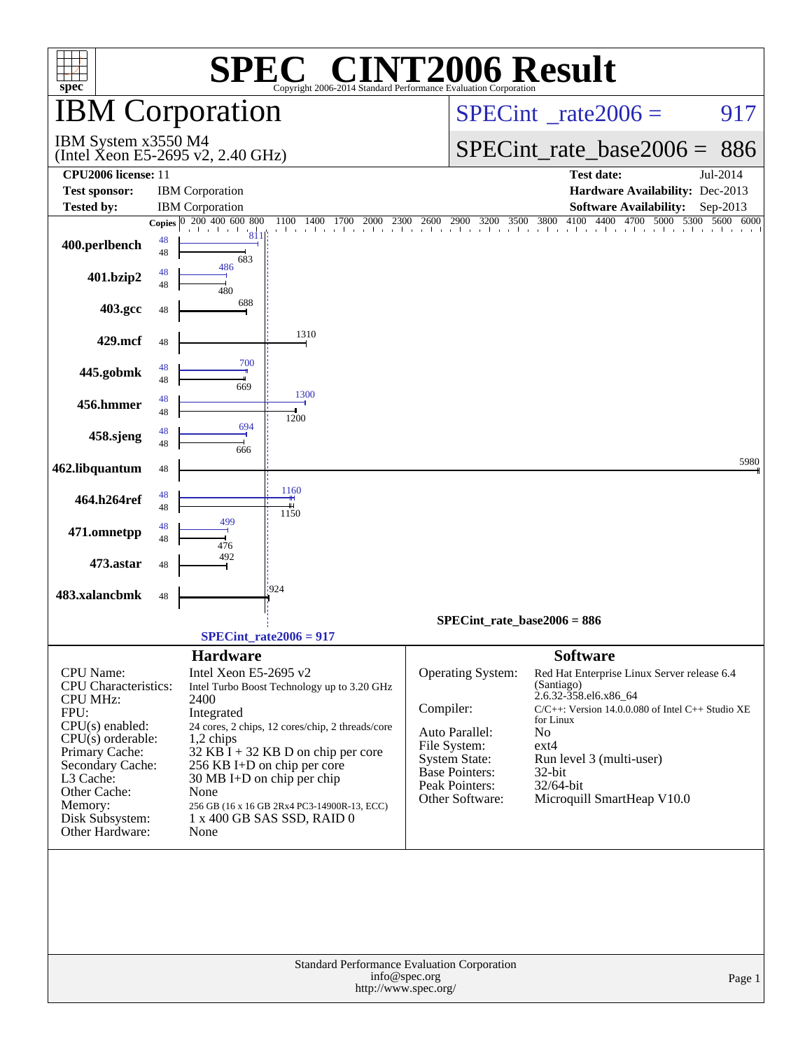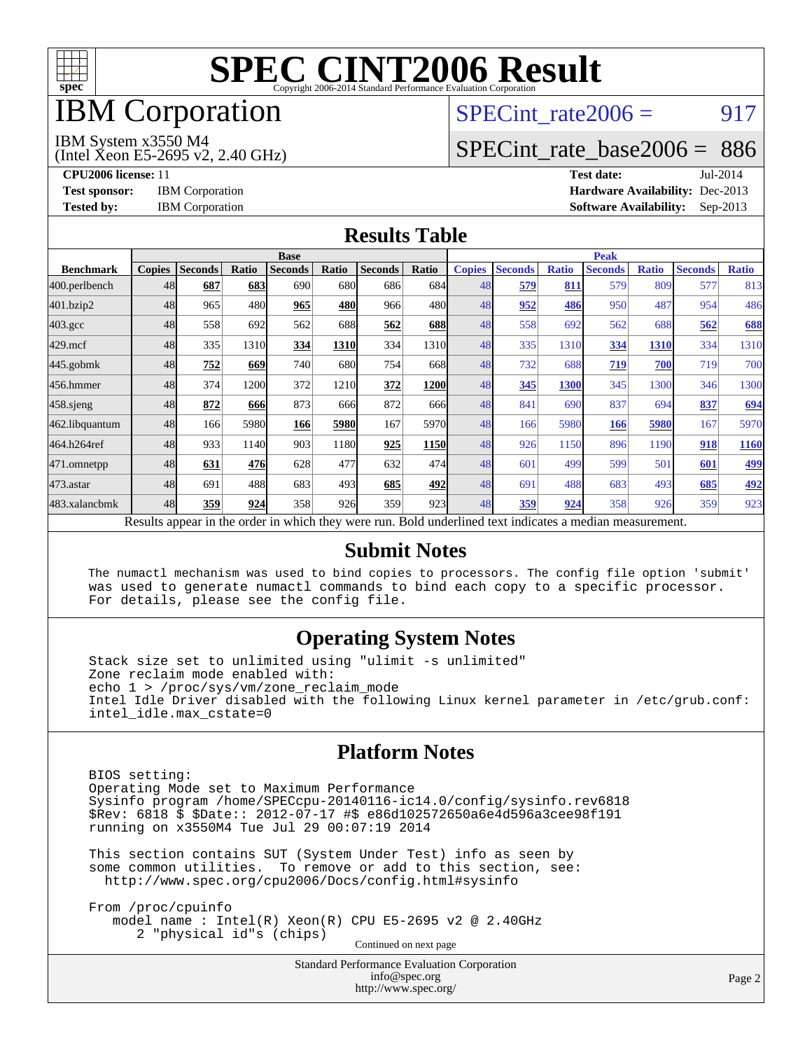

## IBM Corporation

# SPECint rate $2006 = 917$

#### IBM System x3550 M4

(Intel Xeon E5-2695 v2, 2.40 GHz)

[SPECint\\_rate\\_base2006 =](http://www.spec.org/auto/cpu2006/Docs/result-fields.html#SPECintratebase2006) 886

**[CPU2006 license:](http://www.spec.org/auto/cpu2006/Docs/result-fields.html#CPU2006license)** 11 **[Test date:](http://www.spec.org/auto/cpu2006/Docs/result-fields.html#Testdate)** Jul-2014 **[Test sponsor:](http://www.spec.org/auto/cpu2006/Docs/result-fields.html#Testsponsor)** IBM Corporation **[Hardware Availability:](http://www.spec.org/auto/cpu2006/Docs/result-fields.html#HardwareAvailability)** Dec-2013 **[Tested by:](http://www.spec.org/auto/cpu2006/Docs/result-fields.html#Testedby)** IBM Corporation **[Software Availability:](http://www.spec.org/auto/cpu2006/Docs/result-fields.html#SoftwareAvailability)** Sep-2013

#### **[Results Table](http://www.spec.org/auto/cpu2006/Docs/result-fields.html#ResultsTable)**

|                    | <b>Base</b>   |                |       |                                                                                                          |       |                |       | <b>Peak</b>   |                |              |                |              |                |              |
|--------------------|---------------|----------------|-------|----------------------------------------------------------------------------------------------------------|-------|----------------|-------|---------------|----------------|--------------|----------------|--------------|----------------|--------------|
| <b>Benchmark</b>   | <b>Copies</b> | <b>Seconds</b> | Ratio | <b>Seconds</b>                                                                                           | Ratio | <b>Seconds</b> | Ratio | <b>Copies</b> | <b>Seconds</b> | <b>Ratio</b> | <b>Seconds</b> | <b>Ratio</b> | <b>Seconds</b> | <b>Ratio</b> |
| 400.perlbench      | 48            | 687            | 683   | 690                                                                                                      | 680l  | 686            | 684l  | 48            | 579            | 811          | 579            | 809          | 577            | 813          |
| 401.bzip2          | 48            | 965            | 480   | 965                                                                                                      | 480   | 966            | 480   | 48            | 952            | 486          | 950            | 487          | 954            | 486          |
| $403.\mathrm{gcc}$ | 48            | 558            | 692   | 562                                                                                                      | 688   | 562            | 688   | 48            | 558            | 692          | 562            | 688          | 562            | 688          |
| $429$ .mcf         | 48            | 335            | 1310  | 334                                                                                                      | 1310  | 334            | 1310  | 48            | 335            | 1310         | 334            | 1310         | 334            | 1310         |
| $445$ .gobmk       | 48            | 752            | 669   | 740                                                                                                      | 680   | 754            | 668l  | 48            | 732            | 688          | 719            | 700          | 719            | 700          |
| 456.hmmer          | 48            | 374            | 1200  | 372                                                                                                      | 1210  | 372            | 1200  | 48            | 345            | 1300         | 345            | 1300         | 346            | 1300         |
| 458 sjeng          | 48            | 872            | 666   | 873                                                                                                      | 666   | 872            | 666   | 48            | 841            | 690          | 837            | 694          | 837            | 694          |
| 462.libquantum     | 48            | 166            | 5980  | 166                                                                                                      | 5980  | 167            | 5970  | 48            | 166            | 5980         | 166            | 5980         | 167            | 5970         |
| 464.h264ref        | 48            | 933            | 1140  | 903                                                                                                      | 1180  | 925            | 1150  | 48            | 926            | 1150         | 896            | 1190         | 918            | 1160         |
| 471.omnetpp        | 48            | 631            | 476   | 628                                                                                                      | 477   | 632            | 474   | 48            | 601            | 499          | 599            | 501          | 601            | <u>499</u>   |
| $473$ . astar      | 48            | 691            | 488   | 683                                                                                                      | 493   | 685            | 492   | 48            | 691            | 488          | 683            | 493          | 685            | 492          |
| 483.xalancbmk      | 48            | 359            | 924   | 358                                                                                                      | 926   | 359            | 923   | 48            | 359            | 924          | 358            | 926          | 359            | 923          |
|                    |               |                |       | Results appear in the order in which they were run. Bold underlined text indicates a median measurement. |       |                |       |               |                |              |                |              |                |              |

#### **[Submit Notes](http://www.spec.org/auto/cpu2006/Docs/result-fields.html#SubmitNotes)**

 The numactl mechanism was used to bind copies to processors. The config file option 'submit' was used to generate numactl commands to bind each copy to a specific processor. For details, please see the config file.

### **[Operating System Notes](http://www.spec.org/auto/cpu2006/Docs/result-fields.html#OperatingSystemNotes)**

 Stack size set to unlimited using "ulimit -s unlimited" Zone reclaim mode enabled with: echo 1 > /proc/sys/vm/zone\_reclaim\_mode Intel Idle Driver disabled with the following Linux kernel parameter in /etc/grub.conf: intel\_idle.max\_cstate=0

#### **[Platform Notes](http://www.spec.org/auto/cpu2006/Docs/result-fields.html#PlatformNotes)**

 BIOS setting: Operating Mode set to Maximum Performance Sysinfo program /home/SPECcpu-20140116-ic14.0/config/sysinfo.rev6818 \$Rev: 6818 \$ \$Date:: 2012-07-17 #\$ e86d102572650a6e4d596a3cee98f191 running on x3550M4 Tue Jul 29 00:07:19 2014

 This section contains SUT (System Under Test) info as seen by some common utilities. To remove or add to this section, see: <http://www.spec.org/cpu2006/Docs/config.html#sysinfo>

 From /proc/cpuinfo model name : Intel(R) Xeon(R) CPU E5-2695 v2 @ 2.40GHz 2 "physical id"s (chips) Continued on next page

> Standard Performance Evaluation Corporation [info@spec.org](mailto:info@spec.org) <http://www.spec.org/>

Page 2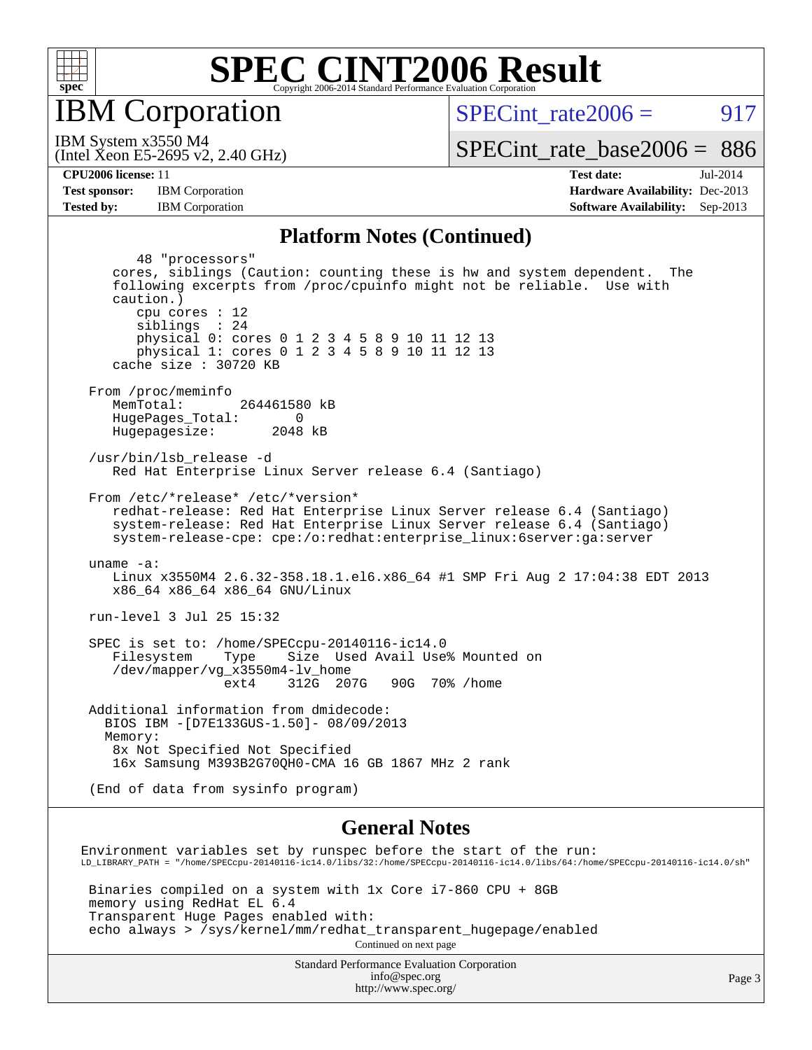

IBM Corporation

SPECint rate $2006 = 917$ 

(Intel Xeon E5-2695 v2, 2.40 GHz) IBM System x3550 M4

[SPECint\\_rate\\_base2006 =](http://www.spec.org/auto/cpu2006/Docs/result-fields.html#SPECintratebase2006) 886

**[Tested by:](http://www.spec.org/auto/cpu2006/Docs/result-fields.html#Testedby)** IBM Corporation **[Software Availability:](http://www.spec.org/auto/cpu2006/Docs/result-fields.html#SoftwareAvailability)** Sep-2013

**[CPU2006 license:](http://www.spec.org/auto/cpu2006/Docs/result-fields.html#CPU2006license)** 11 **[Test date:](http://www.spec.org/auto/cpu2006/Docs/result-fields.html#Testdate)** Jul-2014 **[Test sponsor:](http://www.spec.org/auto/cpu2006/Docs/result-fields.html#Testsponsor)** IBM Corporation **[Hardware Availability:](http://www.spec.org/auto/cpu2006/Docs/result-fields.html#HardwareAvailability)** Dec-2013

#### **[Platform Notes \(Continued\)](http://www.spec.org/auto/cpu2006/Docs/result-fields.html#PlatformNotes)**

 48 "processors" cores, siblings (Caution: counting these is hw and system dependent. The following excerpts from /proc/cpuinfo might not be reliable. Use with caution.) cpu cores : 12 siblings : 24 physical 0: cores 0 1 2 3 4 5 8 9 10 11 12 13 physical 1: cores 0 1 2 3 4 5 8 9 10 11 12 13 cache size : 30720 KB From /proc/meminfo MemTotal: 264461580 kB HugePages\_Total: 0<br>Hugepagesize: 2048 kB Hugepagesize: /usr/bin/lsb\_release -d Red Hat Enterprise Linux Server release 6.4 (Santiago) From /etc/\*release\* /etc/\*version\* redhat-release: Red Hat Enterprise Linux Server release 6.4 (Santiago) system-release: Red Hat Enterprise Linux Server release 6.4 (Santiago) system-release-cpe: cpe:/o:redhat:enterprise\_linux:6server:ga:server uname -a: Linux x3550M4 2.6.32-358.18.1.el6.x86\_64 #1 SMP Fri Aug 2 17:04:38 EDT 2013 x86\_64 x86\_64 x86\_64 GNU/Linux run-level 3 Jul 25 15:32 SPEC is set to: /home/SPECcpu-20140116-ic14.0 Filesystem Type Size Used Avail Use% Mounted on /dev/mapper/vg\_x3550m4-lv\_home ext4 312G 207G 90G 70% /home Additional information from dmidecode: BIOS IBM -[D7E133GUS-1.50]- 08/09/2013 Memory: 8x Not Specified Not Specified 16x Samsung M393B2G70QH0-CMA 16 GB 1867 MHz 2 rank (End of data from sysinfo program) **[General Notes](http://www.spec.org/auto/cpu2006/Docs/result-fields.html#GeneralNotes)**

Environment variables set by runspec before the start of the run: LD\_LIBRARY\_PATH = "/home/SPECcpu-20140116-ic14.0/libs/32:/home/SPECcpu-20140116-ic14.0/libs/64:/home/SPECcpu-20140116-ic14.0/sh"

 Binaries compiled on a system with 1x Core i7-860 CPU + 8GB memory using RedHat EL 6.4 Transparent Huge Pages enabled with: echo always > /sys/kernel/mm/redhat\_transparent\_hugepage/enabled Continued on next page

> Standard Performance Evaluation Corporation [info@spec.org](mailto:info@spec.org) <http://www.spec.org/>

Page 3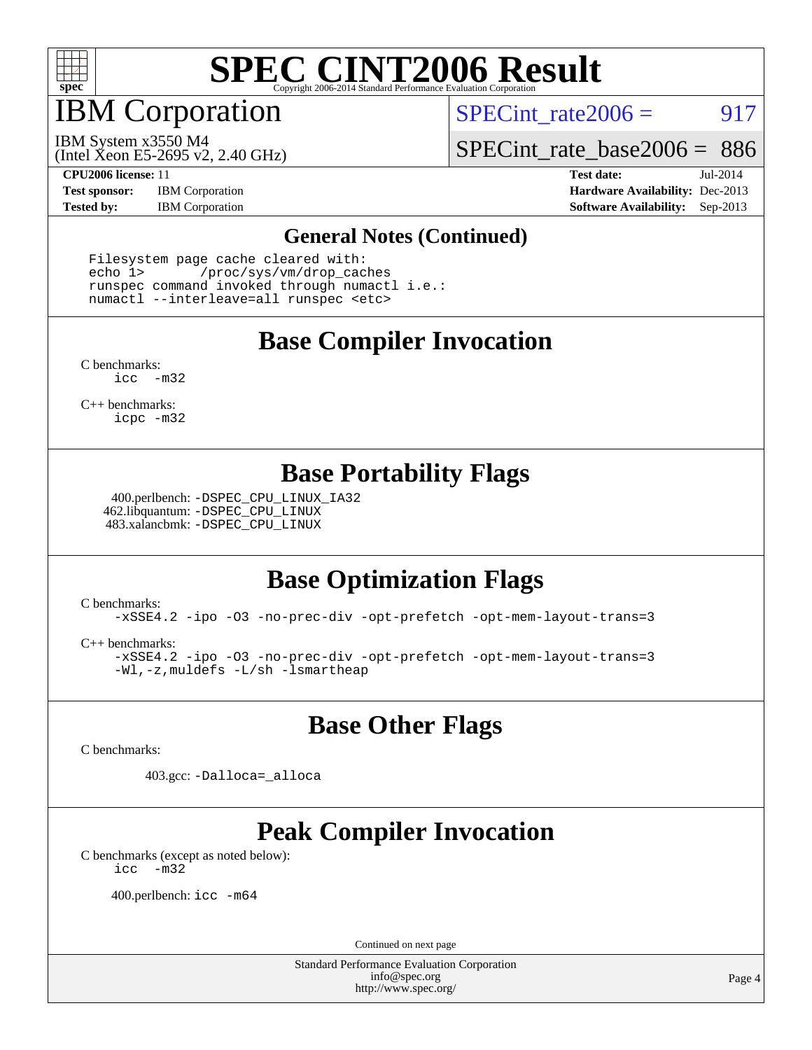

IBM Corporation

SPECint rate $2006 = 917$ 

(Intel Xeon E5-2695 v2, 2.40 GHz) IBM System x3550 M4

[SPECint\\_rate\\_base2006 =](http://www.spec.org/auto/cpu2006/Docs/result-fields.html#SPECintratebase2006) 886

**[Test sponsor:](http://www.spec.org/auto/cpu2006/Docs/result-fields.html#Testsponsor)** IBM Corporation **[Hardware Availability:](http://www.spec.org/auto/cpu2006/Docs/result-fields.html#HardwareAvailability)** Dec-2013

**[CPU2006 license:](http://www.spec.org/auto/cpu2006/Docs/result-fields.html#CPU2006license)** 11 **[Test date:](http://www.spec.org/auto/cpu2006/Docs/result-fields.html#Testdate)** Jul-2014 **[Tested by:](http://www.spec.org/auto/cpu2006/Docs/result-fields.html#Testedby)** IBM Corporation **[Software Availability:](http://www.spec.org/auto/cpu2006/Docs/result-fields.html#SoftwareAvailability)** Sep-2013

#### **[General Notes \(Continued\)](http://www.spec.org/auto/cpu2006/Docs/result-fields.html#GeneralNotes)**

 Filesystem page cache cleared with: echo 1> /proc/sys/vm/drop\_caches runspec command invoked through numactl i.e.: numactl --interleave=all runspec <etc>

### **[Base Compiler Invocation](http://www.spec.org/auto/cpu2006/Docs/result-fields.html#BaseCompilerInvocation)**

[C benchmarks](http://www.spec.org/auto/cpu2006/Docs/result-fields.html#Cbenchmarks): [icc -m32](http://www.spec.org/cpu2006/results/res2014q3/cpu2006-20140731-30720.flags.html#user_CCbase_intel_icc_5ff4a39e364c98233615fdd38438c6f2)

[C++ benchmarks:](http://www.spec.org/auto/cpu2006/Docs/result-fields.html#CXXbenchmarks) [icpc -m32](http://www.spec.org/cpu2006/results/res2014q3/cpu2006-20140731-30720.flags.html#user_CXXbase_intel_icpc_4e5a5ef1a53fd332b3c49e69c3330699)

### **[Base Portability Flags](http://www.spec.org/auto/cpu2006/Docs/result-fields.html#BasePortabilityFlags)**

 400.perlbench: [-DSPEC\\_CPU\\_LINUX\\_IA32](http://www.spec.org/cpu2006/results/res2014q3/cpu2006-20140731-30720.flags.html#b400.perlbench_baseCPORTABILITY_DSPEC_CPU_LINUX_IA32) 462.libquantum: [-DSPEC\\_CPU\\_LINUX](http://www.spec.org/cpu2006/results/res2014q3/cpu2006-20140731-30720.flags.html#b462.libquantum_baseCPORTABILITY_DSPEC_CPU_LINUX) 483.xalancbmk: [-DSPEC\\_CPU\\_LINUX](http://www.spec.org/cpu2006/results/res2014q3/cpu2006-20140731-30720.flags.html#b483.xalancbmk_baseCXXPORTABILITY_DSPEC_CPU_LINUX)

## **[Base Optimization Flags](http://www.spec.org/auto/cpu2006/Docs/result-fields.html#BaseOptimizationFlags)**

[C benchmarks](http://www.spec.org/auto/cpu2006/Docs/result-fields.html#Cbenchmarks):

[-xSSE4.2](http://www.spec.org/cpu2006/results/res2014q3/cpu2006-20140731-30720.flags.html#user_CCbase_f-xSSE42_f91528193cf0b216347adb8b939d4107) [-ipo](http://www.spec.org/cpu2006/results/res2014q3/cpu2006-20140731-30720.flags.html#user_CCbase_f-ipo) [-O3](http://www.spec.org/cpu2006/results/res2014q3/cpu2006-20140731-30720.flags.html#user_CCbase_f-O3) [-no-prec-div](http://www.spec.org/cpu2006/results/res2014q3/cpu2006-20140731-30720.flags.html#user_CCbase_f-no-prec-div) [-opt-prefetch](http://www.spec.org/cpu2006/results/res2014q3/cpu2006-20140731-30720.flags.html#user_CCbase_f-opt-prefetch) [-opt-mem-layout-trans=3](http://www.spec.org/cpu2006/results/res2014q3/cpu2006-20140731-30720.flags.html#user_CCbase_f-opt-mem-layout-trans_a7b82ad4bd7abf52556d4961a2ae94d5)

[C++ benchmarks:](http://www.spec.org/auto/cpu2006/Docs/result-fields.html#CXXbenchmarks)

[-xSSE4.2](http://www.spec.org/cpu2006/results/res2014q3/cpu2006-20140731-30720.flags.html#user_CXXbase_f-xSSE42_f91528193cf0b216347adb8b939d4107) [-ipo](http://www.spec.org/cpu2006/results/res2014q3/cpu2006-20140731-30720.flags.html#user_CXXbase_f-ipo) [-O3](http://www.spec.org/cpu2006/results/res2014q3/cpu2006-20140731-30720.flags.html#user_CXXbase_f-O3) [-no-prec-div](http://www.spec.org/cpu2006/results/res2014q3/cpu2006-20140731-30720.flags.html#user_CXXbase_f-no-prec-div) [-opt-prefetch](http://www.spec.org/cpu2006/results/res2014q3/cpu2006-20140731-30720.flags.html#user_CXXbase_f-opt-prefetch) [-opt-mem-layout-trans=3](http://www.spec.org/cpu2006/results/res2014q3/cpu2006-20140731-30720.flags.html#user_CXXbase_f-opt-mem-layout-trans_a7b82ad4bd7abf52556d4961a2ae94d5) [-Wl,-z,muldefs](http://www.spec.org/cpu2006/results/res2014q3/cpu2006-20140731-30720.flags.html#user_CXXbase_link_force_multiple1_74079c344b956b9658436fd1b6dd3a8a) [-L/sh -lsmartheap](http://www.spec.org/cpu2006/results/res2014q3/cpu2006-20140731-30720.flags.html#user_CXXbase_SmartHeap_32f6c82aa1ed9c52345d30cf6e4a0499)

### **[Base Other Flags](http://www.spec.org/auto/cpu2006/Docs/result-fields.html#BaseOtherFlags)**

[C benchmarks](http://www.spec.org/auto/cpu2006/Docs/result-fields.html#Cbenchmarks):

403.gcc: [-Dalloca=\\_alloca](http://www.spec.org/cpu2006/results/res2014q3/cpu2006-20140731-30720.flags.html#b403.gcc_baseEXTRA_CFLAGS_Dalloca_be3056838c12de2578596ca5467af7f3)

## **[Peak Compiler Invocation](http://www.spec.org/auto/cpu2006/Docs/result-fields.html#PeakCompilerInvocation)**

[C benchmarks \(except as noted below\)](http://www.spec.org/auto/cpu2006/Docs/result-fields.html#Cbenchmarksexceptasnotedbelow): [icc -m32](http://www.spec.org/cpu2006/results/res2014q3/cpu2006-20140731-30720.flags.html#user_CCpeak_intel_icc_5ff4a39e364c98233615fdd38438c6f2)

400.perlbench: [icc -m64](http://www.spec.org/cpu2006/results/res2014q3/cpu2006-20140731-30720.flags.html#user_peakCCLD400_perlbench_intel_icc_64bit_bda6cc9af1fdbb0edc3795bac97ada53)

Continued on next page

Standard Performance Evaluation Corporation [info@spec.org](mailto:info@spec.org) <http://www.spec.org/>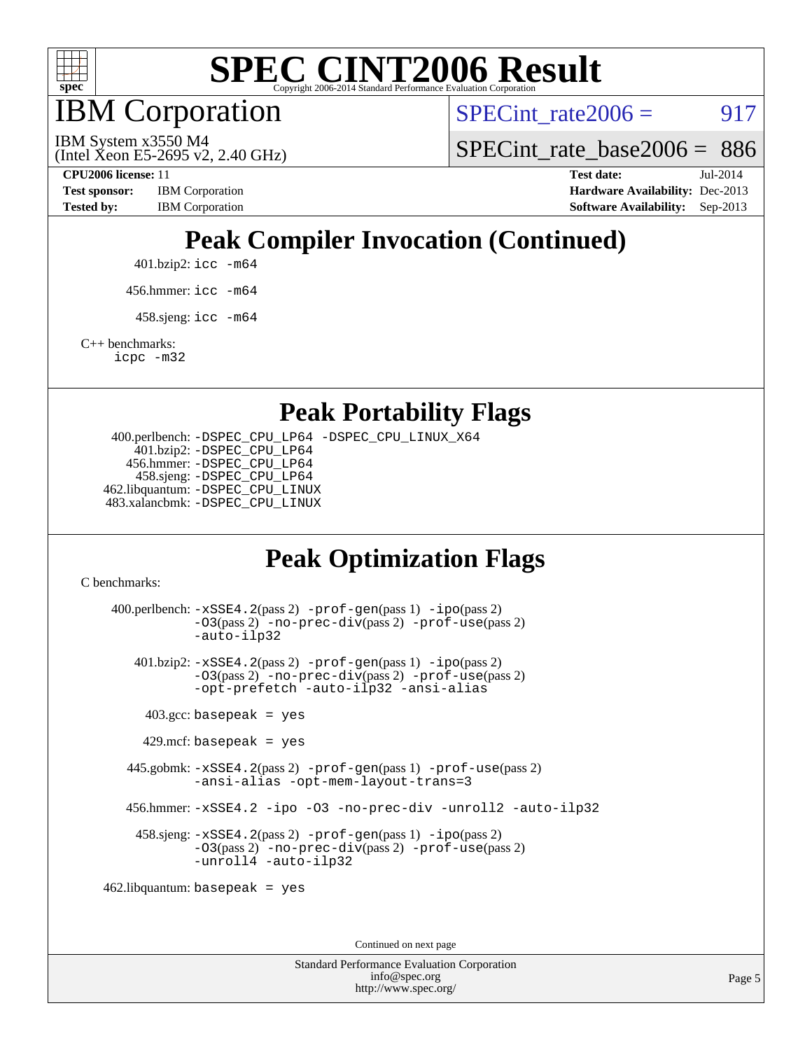

IBM Corporation

SPECint rate $2006 = 917$ 

(Intel Xeon E5-2695 v2, 2.40 GHz) IBM System x3550 M4

SPECint rate base2006 =  $886$ 

**[CPU2006 license:](http://www.spec.org/auto/cpu2006/Docs/result-fields.html#CPU2006license)** 11 **[Test date:](http://www.spec.org/auto/cpu2006/Docs/result-fields.html#Testdate)** Jul-2014 **[Test sponsor:](http://www.spec.org/auto/cpu2006/Docs/result-fields.html#Testsponsor)** IBM Corporation **[Hardware Availability:](http://www.spec.org/auto/cpu2006/Docs/result-fields.html#HardwareAvailability)** Dec-2013 [Tested by:](http://www.spec.org/auto/cpu2006/Docs/result-fields.html#Testedby) IBM Corporation **[Software Availability:](http://www.spec.org/auto/cpu2006/Docs/result-fields.html#SoftwareAvailability)** Sep-2013

## **[Peak Compiler Invocation \(Continued\)](http://www.spec.org/auto/cpu2006/Docs/result-fields.html#PeakCompilerInvocation)**

401.bzip2: [icc -m64](http://www.spec.org/cpu2006/results/res2014q3/cpu2006-20140731-30720.flags.html#user_peakCCLD401_bzip2_intel_icc_64bit_bda6cc9af1fdbb0edc3795bac97ada53)

456.hmmer: [icc -m64](http://www.spec.org/cpu2006/results/res2014q3/cpu2006-20140731-30720.flags.html#user_peakCCLD456_hmmer_intel_icc_64bit_bda6cc9af1fdbb0edc3795bac97ada53)

 $458 \text{.}$ sjeng: icc  $-\text{m64}$ 

[C++ benchmarks:](http://www.spec.org/auto/cpu2006/Docs/result-fields.html#CXXbenchmarks)

[icpc -m32](http://www.spec.org/cpu2006/results/res2014q3/cpu2006-20140731-30720.flags.html#user_CXXpeak_intel_icpc_4e5a5ef1a53fd332b3c49e69c3330699)

**[Peak Portability Flags](http://www.spec.org/auto/cpu2006/Docs/result-fields.html#PeakPortabilityFlags)**

 400.perlbench: [-DSPEC\\_CPU\\_LP64](http://www.spec.org/cpu2006/results/res2014q3/cpu2006-20140731-30720.flags.html#b400.perlbench_peakCPORTABILITY_DSPEC_CPU_LP64) [-DSPEC\\_CPU\\_LINUX\\_X64](http://www.spec.org/cpu2006/results/res2014q3/cpu2006-20140731-30720.flags.html#b400.perlbench_peakCPORTABILITY_DSPEC_CPU_LINUX_X64) 401.bzip2: [-DSPEC\\_CPU\\_LP64](http://www.spec.org/cpu2006/results/res2014q3/cpu2006-20140731-30720.flags.html#suite_peakCPORTABILITY401_bzip2_DSPEC_CPU_LP64) 456.hmmer: [-DSPEC\\_CPU\\_LP64](http://www.spec.org/cpu2006/results/res2014q3/cpu2006-20140731-30720.flags.html#suite_peakCPORTABILITY456_hmmer_DSPEC_CPU_LP64) 458.sjeng: [-DSPEC\\_CPU\\_LP64](http://www.spec.org/cpu2006/results/res2014q3/cpu2006-20140731-30720.flags.html#suite_peakCPORTABILITY458_sjeng_DSPEC_CPU_LP64) 462.libquantum: [-DSPEC\\_CPU\\_LINUX](http://www.spec.org/cpu2006/results/res2014q3/cpu2006-20140731-30720.flags.html#b462.libquantum_peakCPORTABILITY_DSPEC_CPU_LINUX) 483.xalancbmk: [-DSPEC\\_CPU\\_LINUX](http://www.spec.org/cpu2006/results/res2014q3/cpu2006-20140731-30720.flags.html#b483.xalancbmk_peakCXXPORTABILITY_DSPEC_CPU_LINUX)

## **[Peak Optimization Flags](http://www.spec.org/auto/cpu2006/Docs/result-fields.html#PeakOptimizationFlags)**

[C benchmarks](http://www.spec.org/auto/cpu2006/Docs/result-fields.html#Cbenchmarks):

 400.perlbench: [-xSSE4.2](http://www.spec.org/cpu2006/results/res2014q3/cpu2006-20140731-30720.flags.html#user_peakPASS2_CFLAGSPASS2_LDCFLAGS400_perlbench_f-xSSE42_f91528193cf0b216347adb8b939d4107)(pass 2) [-prof-gen](http://www.spec.org/cpu2006/results/res2014q3/cpu2006-20140731-30720.flags.html#user_peakPASS1_CFLAGSPASS1_LDCFLAGS400_perlbench_prof_gen_e43856698f6ca7b7e442dfd80e94a8fc)(pass 1) [-ipo](http://www.spec.org/cpu2006/results/res2014q3/cpu2006-20140731-30720.flags.html#user_peakPASS2_CFLAGSPASS2_LDCFLAGS400_perlbench_f-ipo)(pass 2) [-O3](http://www.spec.org/cpu2006/results/res2014q3/cpu2006-20140731-30720.flags.html#user_peakPASS2_CFLAGSPASS2_LDCFLAGS400_perlbench_f-O3)(pass 2) [-no-prec-div](http://www.spec.org/cpu2006/results/res2014q3/cpu2006-20140731-30720.flags.html#user_peakPASS2_CFLAGSPASS2_LDCFLAGS400_perlbench_f-no-prec-div)(pass 2) [-prof-use](http://www.spec.org/cpu2006/results/res2014q3/cpu2006-20140731-30720.flags.html#user_peakPASS2_CFLAGSPASS2_LDCFLAGS400_perlbench_prof_use_bccf7792157ff70d64e32fe3e1250b55)(pass 2) [-auto-ilp32](http://www.spec.org/cpu2006/results/res2014q3/cpu2006-20140731-30720.flags.html#user_peakCOPTIMIZE400_perlbench_f-auto-ilp32) 401.bzip2: [-xSSE4.2](http://www.spec.org/cpu2006/results/res2014q3/cpu2006-20140731-30720.flags.html#user_peakPASS2_CFLAGSPASS2_LDCFLAGS401_bzip2_f-xSSE42_f91528193cf0b216347adb8b939d4107)(pass 2) [-prof-gen](http://www.spec.org/cpu2006/results/res2014q3/cpu2006-20140731-30720.flags.html#user_peakPASS1_CFLAGSPASS1_LDCFLAGS401_bzip2_prof_gen_e43856698f6ca7b7e442dfd80e94a8fc)(pass 1) [-ipo](http://www.spec.org/cpu2006/results/res2014q3/cpu2006-20140731-30720.flags.html#user_peakPASS2_CFLAGSPASS2_LDCFLAGS401_bzip2_f-ipo)(pass 2) [-O3](http://www.spec.org/cpu2006/results/res2014q3/cpu2006-20140731-30720.flags.html#user_peakPASS2_CFLAGSPASS2_LDCFLAGS401_bzip2_f-O3)(pass 2) [-no-prec-div](http://www.spec.org/cpu2006/results/res2014q3/cpu2006-20140731-30720.flags.html#user_peakPASS2_CFLAGSPASS2_LDCFLAGS401_bzip2_f-no-prec-div)(pass 2) [-prof-use](http://www.spec.org/cpu2006/results/res2014q3/cpu2006-20140731-30720.flags.html#user_peakPASS2_CFLAGSPASS2_LDCFLAGS401_bzip2_prof_use_bccf7792157ff70d64e32fe3e1250b55)(pass 2) [-opt-prefetch](http://www.spec.org/cpu2006/results/res2014q3/cpu2006-20140731-30720.flags.html#user_peakCOPTIMIZE401_bzip2_f-opt-prefetch) [-auto-ilp32](http://www.spec.org/cpu2006/results/res2014q3/cpu2006-20140731-30720.flags.html#user_peakCOPTIMIZE401_bzip2_f-auto-ilp32) [-ansi-alias](http://www.spec.org/cpu2006/results/res2014q3/cpu2006-20140731-30720.flags.html#user_peakCOPTIMIZE401_bzip2_f-ansi-alias)  $403.\text{gcc: basepeak}$  = yes  $429$ .mcf: basepeak = yes 445.gobmk: [-xSSE4.2](http://www.spec.org/cpu2006/results/res2014q3/cpu2006-20140731-30720.flags.html#user_peakPASS2_CFLAGSPASS2_LDCFLAGS445_gobmk_f-xSSE42_f91528193cf0b216347adb8b939d4107)(pass 2) [-prof-gen](http://www.spec.org/cpu2006/results/res2014q3/cpu2006-20140731-30720.flags.html#user_peakPASS1_CFLAGSPASS1_LDCFLAGS445_gobmk_prof_gen_e43856698f6ca7b7e442dfd80e94a8fc)(pass 1) [-prof-use](http://www.spec.org/cpu2006/results/res2014q3/cpu2006-20140731-30720.flags.html#user_peakPASS2_CFLAGSPASS2_LDCFLAGS445_gobmk_prof_use_bccf7792157ff70d64e32fe3e1250b55)(pass 2) [-ansi-alias](http://www.spec.org/cpu2006/results/res2014q3/cpu2006-20140731-30720.flags.html#user_peakCOPTIMIZE445_gobmk_f-ansi-alias) [-opt-mem-layout-trans=3](http://www.spec.org/cpu2006/results/res2014q3/cpu2006-20140731-30720.flags.html#user_peakCOPTIMIZE445_gobmk_f-opt-mem-layout-trans_a7b82ad4bd7abf52556d4961a2ae94d5) 456.hmmer: [-xSSE4.2](http://www.spec.org/cpu2006/results/res2014q3/cpu2006-20140731-30720.flags.html#user_peakCOPTIMIZE456_hmmer_f-xSSE42_f91528193cf0b216347adb8b939d4107) [-ipo](http://www.spec.org/cpu2006/results/res2014q3/cpu2006-20140731-30720.flags.html#user_peakCOPTIMIZE456_hmmer_f-ipo) [-O3](http://www.spec.org/cpu2006/results/res2014q3/cpu2006-20140731-30720.flags.html#user_peakCOPTIMIZE456_hmmer_f-O3) [-no-prec-div](http://www.spec.org/cpu2006/results/res2014q3/cpu2006-20140731-30720.flags.html#user_peakCOPTIMIZE456_hmmer_f-no-prec-div) [-unroll2](http://www.spec.org/cpu2006/results/res2014q3/cpu2006-20140731-30720.flags.html#user_peakCOPTIMIZE456_hmmer_f-unroll_784dae83bebfb236979b41d2422d7ec2) [-auto-ilp32](http://www.spec.org/cpu2006/results/res2014q3/cpu2006-20140731-30720.flags.html#user_peakCOPTIMIZE456_hmmer_f-auto-ilp32) 458.sjeng: [-xSSE4.2](http://www.spec.org/cpu2006/results/res2014q3/cpu2006-20140731-30720.flags.html#user_peakPASS2_CFLAGSPASS2_LDCFLAGS458_sjeng_f-xSSE42_f91528193cf0b216347adb8b939d4107)(pass 2) [-prof-gen](http://www.spec.org/cpu2006/results/res2014q3/cpu2006-20140731-30720.flags.html#user_peakPASS1_CFLAGSPASS1_LDCFLAGS458_sjeng_prof_gen_e43856698f6ca7b7e442dfd80e94a8fc)(pass 1) [-ipo](http://www.spec.org/cpu2006/results/res2014q3/cpu2006-20140731-30720.flags.html#user_peakPASS2_CFLAGSPASS2_LDCFLAGS458_sjeng_f-ipo)(pass 2) [-O3](http://www.spec.org/cpu2006/results/res2014q3/cpu2006-20140731-30720.flags.html#user_peakPASS2_CFLAGSPASS2_LDCFLAGS458_sjeng_f-O3)(pass 2) [-no-prec-div](http://www.spec.org/cpu2006/results/res2014q3/cpu2006-20140731-30720.flags.html#user_peakPASS2_CFLAGSPASS2_LDCFLAGS458_sjeng_f-no-prec-div)(pass 2) [-prof-use](http://www.spec.org/cpu2006/results/res2014q3/cpu2006-20140731-30720.flags.html#user_peakPASS2_CFLAGSPASS2_LDCFLAGS458_sjeng_prof_use_bccf7792157ff70d64e32fe3e1250b55)(pass 2) [-unroll4](http://www.spec.org/cpu2006/results/res2014q3/cpu2006-20140731-30720.flags.html#user_peakCOPTIMIZE458_sjeng_f-unroll_4e5e4ed65b7fd20bdcd365bec371b81f) [-auto-ilp32](http://www.spec.org/cpu2006/results/res2014q3/cpu2006-20140731-30720.flags.html#user_peakCOPTIMIZE458_sjeng_f-auto-ilp32) 462.libquantum: basepeak = yes

Continued on next page

Standard Performance Evaluation Corporation [info@spec.org](mailto:info@spec.org) <http://www.spec.org/>